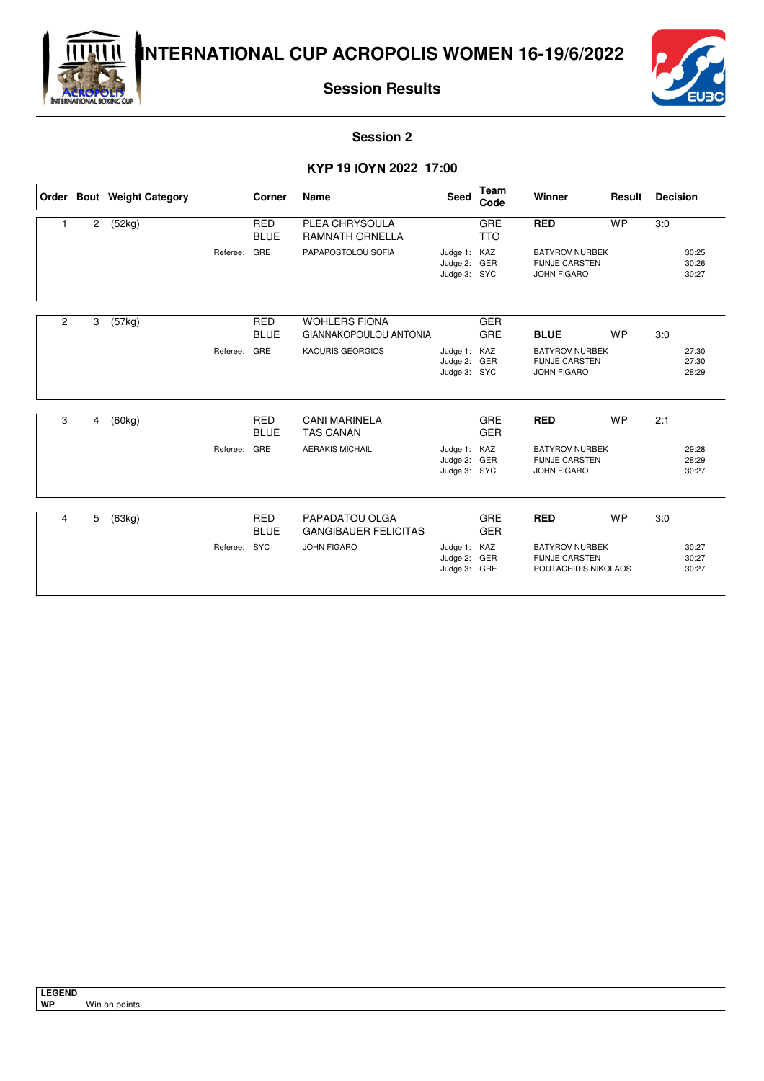



**Session Results**

#### **Session 2**

#### - **19** - **2022 17:00**

|                |                | Order Bout Weight Category |              | Corner                    | Name                                                  | <b>Seed</b>                                  | <b>Team</b><br>Code | Winner                                                                 | Result    | <b>Decision</b> |                         |
|----------------|----------------|----------------------------|--------------|---------------------------|-------------------------------------------------------|----------------------------------------------|---------------------|------------------------------------------------------------------------|-----------|-----------------|-------------------------|
|                | $\overline{2}$ | (52kg)                     |              | <b>RED</b><br><b>BLUE</b> | PLEA CHRYSOULA<br><b>RAMNATH ORNELLA</b>              |                                              | GRE<br><b>TTO</b>   | <b>RED</b>                                                             | <b>WP</b> | 3:0             |                         |
|                |                |                            | Referee:     | GRE                       | PAPAPOSTOLOU SOFIA                                    | Judge 1: KAZ<br>Judge 2: GER<br>Judge 3: SYC |                     | <b>BATYROV NURBEK</b><br><b>FIJNJE CARSTEN</b><br><b>JOHN FIGARO</b>   |           |                 | 30:25<br>30:26<br>30:27 |
| $\overline{2}$ | 3              | (57kg)                     |              | <b>RED</b><br><b>BLUE</b> | <b>WOHLERS FIONA</b><br><b>GIANNAKOPOULOU ANTONIA</b> |                                              | <b>GER</b><br>GRE   | <b>BLUE</b>                                                            | <b>WP</b> | 3:0             |                         |
|                |                |                            | Referee:     | GRE                       | <b>KAOURIS GEORGIOS</b>                               | Judge 1: KAZ<br>Judge 2: GER<br>Judge 3: SYC |                     | <b>BATYROV NURBEK</b><br><b>FIJNJE CARSTEN</b><br><b>JOHN FIGARO</b>   |           |                 | 27:30<br>27:30<br>28:29 |
| 3              | 4              | (60kg)                     |              | <b>RED</b><br><b>BLUE</b> | <b>CANI MARINELA</b><br><b>TAS CANAN</b>              |                                              | GRE<br><b>GER</b>   | <b>RED</b>                                                             | <b>WP</b> | 2:1             |                         |
|                |                |                            | Referee:     | GRE                       | <b>AERAKIS MICHAIL</b>                                | Judge 1: KAZ<br>Judge 2: GER<br>Judge 3: SYC |                     | <b>BATYROV NURBEK</b><br><b>FIJNJE CARSTEN</b><br><b>JOHN FIGARO</b>   |           |                 | 29:28<br>28:29<br>30:27 |
|                |                |                            |              |                           |                                                       |                                              |                     |                                                                        |           |                 |                         |
| 4              | 5              | (63kg)                     |              | <b>RED</b><br><b>BLUE</b> | PAPADATOU OLGA<br><b>GANGIBAUER FELICITAS</b>         |                                              | GRE<br><b>GER</b>   | <b>RED</b>                                                             | <b>WP</b> | 3:0             |                         |
|                |                |                            | Referee: SYC |                           | <b>JOHN FIGARO</b>                                    | Judge 1: KAZ<br>Judge 2:<br>Judge 3: GRE     | GER                 | <b>BATYROV NURBEK</b><br><b>FIJNJE CARSTEN</b><br>POUTACHIDIS NIKOLAOS |           |                 | 30:27<br>30:27<br>30:27 |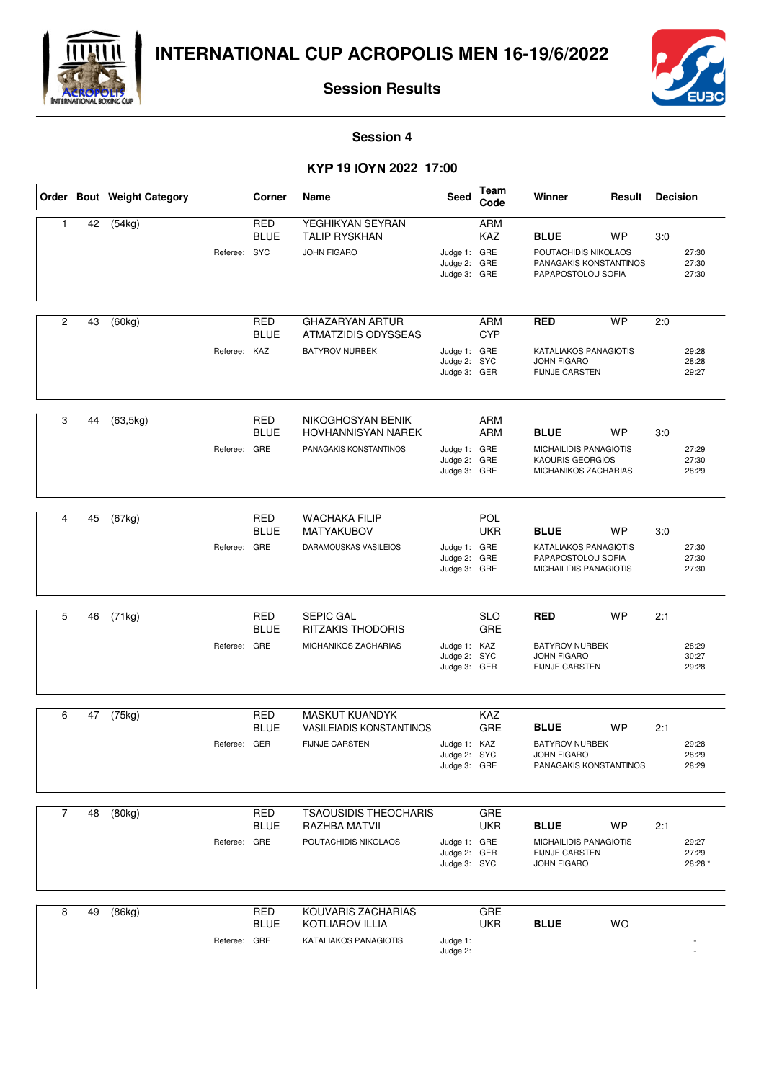



**Session Results**

**Session 4**

#### - **19** - **2022 17:00**

|                |    | Order Bout Weight Category | Corner<br>Name |                           |                                                                                   | Seed                                         | Team<br>Code                    | Winner                                                                                   | Result    | <b>Decision</b> |                           |
|----------------|----|----------------------------|----------------|---------------------------|-----------------------------------------------------------------------------------|----------------------------------------------|---------------------------------|------------------------------------------------------------------------------------------|-----------|-----------------|---------------------------|
| $\mathbf{1}$   | 42 | (54kg)                     | Referee: SYC   | <b>RED</b><br><b>BLUE</b> | YEGHIKYAN SEYRAN<br><b>TALIP RYSKHAN</b><br><b>JOHN FIGARO</b>                    | Judge 1: GRE<br>Judge 2:<br>Judge 3: GRE     | <b>ARM</b><br><b>KAZ</b><br>GRE | <b>BLUE</b><br>POUTACHIDIS NIKOLAOS<br>PANAGAKIS KONSTANTINOS<br>PAPAPOSTOLOU SOFIA      | <b>WP</b> | 3:0             | 27:30<br>27:30<br>27:30   |
| $\overline{2}$ | 43 | (60kg)                     | Referee: KAZ   | <b>RED</b><br><b>BLUE</b> | <b>GHAZARYAN ARTUR</b><br>ATMATZIDIS ODYSSEAS<br><b>BATYROV NURBEK</b>            | Judge 1: GRE<br>Judge 2: SYC<br>Judge 3: GER | <b>ARM</b><br><b>CYP</b>        | <b>RED</b><br>KATALIAKOS PANAGIOTIS<br><b>JOHN FIGARO</b><br><b>FIJNJE CARSTEN</b>       | <b>WP</b> | 2:0             | 29:28<br>28:28<br>29:27   |
| 3              | 44 | (63, 5kg)                  | Referee: GRE   | <b>RED</b><br><b>BLUE</b> | NIKOGHOSYAN BENIK<br>HOVHANNISYAN NAREK<br>PANAGAKIS KONSTANTINOS                 | Judge 1: GRE<br>Judge 2:<br>Judge 3: GRE     | ARM<br>ARM<br>GRE               | <b>BLUE</b><br>MICHAILIDIS PANAGIOTIS<br><b>KAOURIS GEORGIOS</b><br>MICHANIKOS ZACHARIAS | <b>WP</b> | 3:0             | 27:29<br>27:30<br>28:29   |
| 4              | 45 | (67kg)                     | Referee: GRE   | <b>RED</b><br><b>BLUE</b> | <b>WACHAKA FILIP</b><br><b>MATYAKUBOV</b><br>DARAMOUSKAS VASILEIOS                | Judge 1: GRE<br>Judge 2:<br>Judge 3: GRE     | POL<br><b>UKR</b><br>GRE        | <b>BLUE</b><br>KATALIAKOS PANAGIOTIS<br>PAPAPOSTOLOU SOFIA<br>MICHAILIDIS PANAGIOTIS     | <b>WP</b> | 3:0             | 27:30<br>27:30<br>27:30   |
| 5              | 46 | $\overline{(71kg)}$        | Referee: GRE   | <b>RED</b><br><b>BLUE</b> | <b>SEPIC GAL</b><br><b>RITZAKIS THODORIS</b><br>MICHANIKOS ZACHARIAS              | Judge 1: KAZ<br>Judge 2: SYC<br>Judge 3: GER | <b>SLO</b><br>GRE               | <b>RED</b><br><b>BATYROV NURBEK</b><br><b>JOHN FIGARO</b><br><b>FIJNJE CARSTEN</b>       | <b>WP</b> | 2:1             | 28:29<br>30:27<br>29:28   |
| 6              | 47 | (75kg)                     | Referee: GER   | <b>RED</b><br><b>BLUE</b> | <b>MASKUT KUANDYK</b><br><b>VASILEIADIS KONSTANTINOS</b><br><b>FIJNJE CARSTEN</b> | Judge 1: KAZ<br>Judge 2:<br>Judge 3: GRE     | <b>KAZ</b><br>GRE<br><b>SYC</b> | <b>BLUE</b><br><b>BATYROV NURBEK</b><br><b>JOHN FIGARO</b><br>PANAGAKIS KONSTANTINOS     | <b>WP</b> | 2:1             | 29:28<br>28:29<br>28:29   |
| $\overline{7}$ | 48 | (80kg)                     | Referee:       | RED<br><b>BLUE</b><br>GRE | <b>TSAOUSIDIS THEOCHARIS</b><br>RAZHBA MATVII<br>POUTACHIDIS NIKOLAOS             | Judge 1: GRE<br>Judge 2:<br>Judge 3: SYC     | <b>GRE</b><br><b>UKR</b><br>GER | <b>BLUE</b><br>MICHAILIDIS PANAGIOTIS<br>FIJNJE CARSTEN<br><b>JOHN FIGARO</b>            | <b>WP</b> | 2:1             | 29:27<br>27:29<br>28:28 * |
| 8              | 49 | (86kg)                     | Referee: GRE   | <b>RED</b><br><b>BLUE</b> | KOUVARIS ZACHARIAS<br><b>KOTLIAROV ILLIA</b><br>KATALIAKOS PANAGIOTIS             | Judge 1:<br>Judge 2:                         | <b>GRE</b><br><b>UKR</b>        | <b>BLUE</b>                                                                              | <b>WO</b> |                 |                           |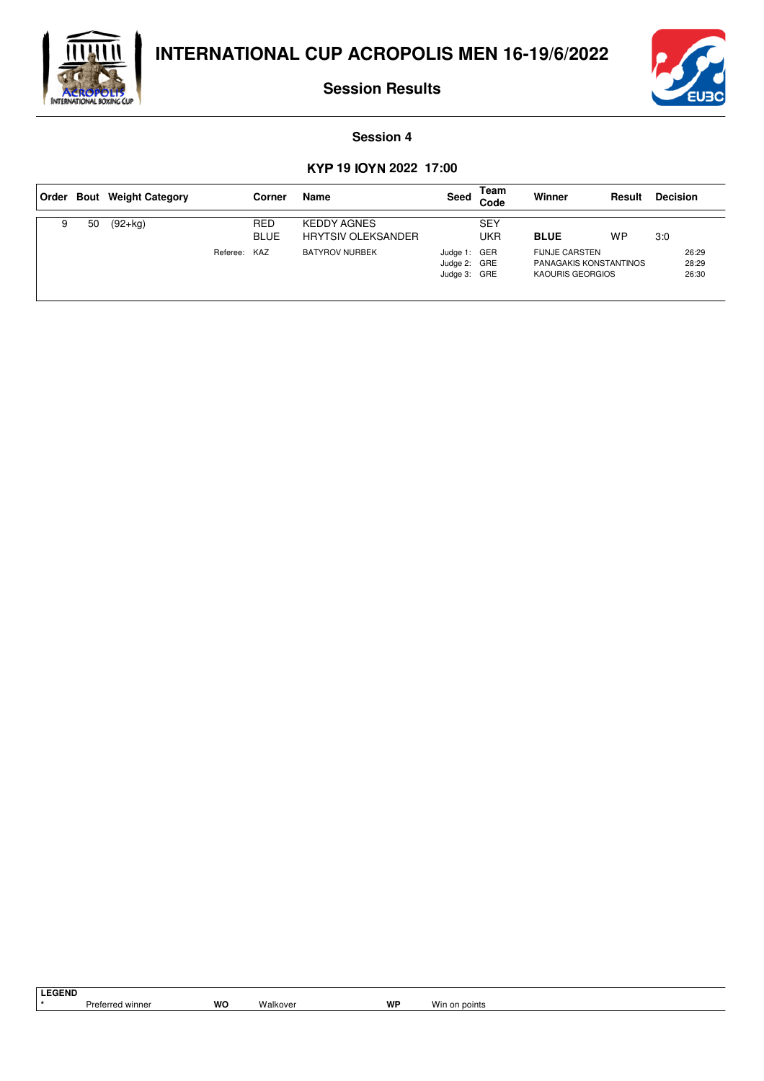



**Session Results**

#### **Session 4**

#### - **19** - **2022 17:00**

|   |    | Order Bout Weight Category |              | Corner             | Name                                            | Seed                                         | Team<br>Code      | Winner                                                              | Result | <b>Decision</b> |                         |
|---|----|----------------------------|--------------|--------------------|-------------------------------------------------|----------------------------------------------|-------------------|---------------------------------------------------------------------|--------|-----------------|-------------------------|
| 9 | 50 | $(92+kq)$                  |              | RED<br><b>BLUE</b> | <b>KEDDY AGNES</b><br><b>HRYTSIV OLEKSANDER</b> |                                              | <b>SEY</b><br>UKR | <b>BLUE</b>                                                         | WP     | 3:0             |                         |
|   |    |                            | Referee: KAZ |                    | <b>BATYROV NURBEK</b>                           | Judge 1: GER<br>Judge 2: GRE<br>Judge 3: GRE |                   | <b>FIJNJE CARSTEN</b><br>PANAGAKIS KONSTANTINOS<br>KAOURIS GEORGIOS |        |                 | 26:29<br>28:29<br>26:30 |

**LEGEND**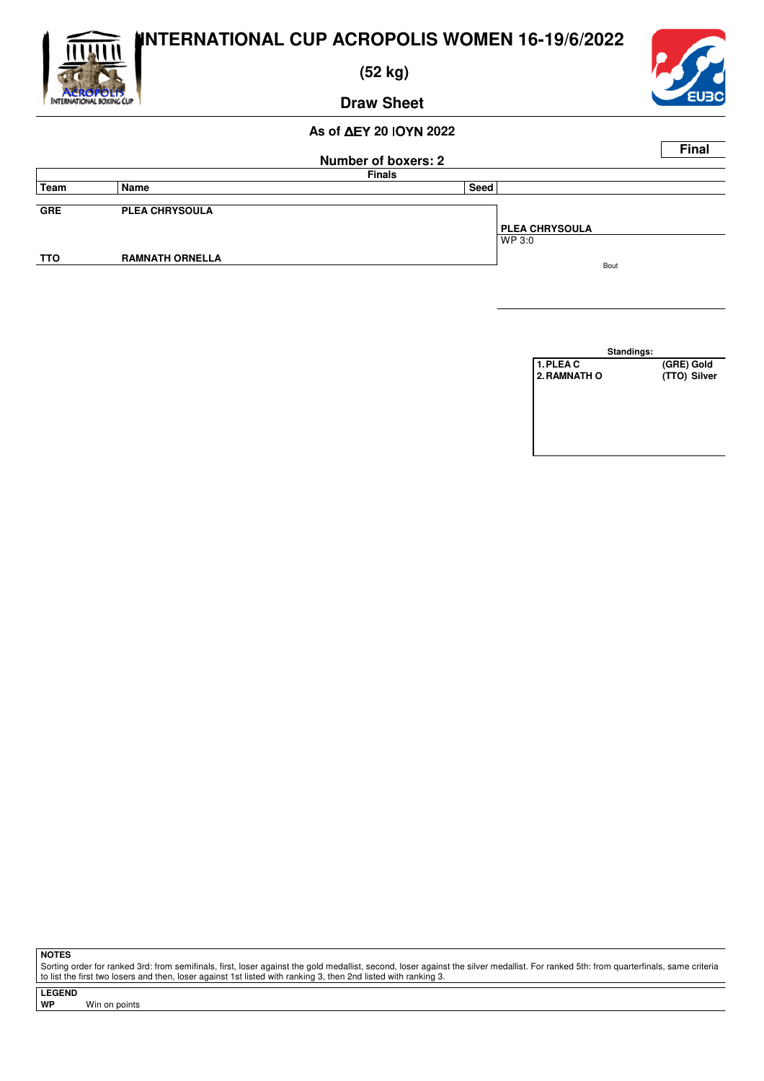

 **(52 kg)**



**Draw Sheet**

#### **As of ΔEY 20 ΙΟΥΝ 2022**

|            |                        |                            |      |                       | <b>Final</b> |
|------------|------------------------|----------------------------|------|-----------------------|--------------|
|            |                        | <b>Number of boxers: 2</b> |      |                       |              |
|            |                        | <b>Finals</b>              |      |                       |              |
| Team       | Name                   |                            | Seed |                       |              |
|            |                        |                            |      |                       |              |
| <b>GRE</b> | <b>PLEA CHRYSOULA</b>  |                            |      |                       |              |
|            |                        |                            |      | <b>PLEA CHRYSOULA</b> |              |
|            |                        |                            |      | WP 3:0                |              |
| <b>TTO</b> | <b>RAMNATH ORNELLA</b> |                            |      |                       |              |
|            |                        |                            |      | Bout                  |              |

**Standings: 1.PLEA C** (GRE) Gold<br> **2.RAMNATH O** (TTO) Silver **2. RAMNATH O** 

**NOTES**

Sorting order for ranked 3rd: from semifinals, first, loser against the gold medallist, second, loser against the silver medallist. For ranked 5th: from quarterfinals, same criteria to list the first two losers and then, loser against 1st listed with ranking 3, then 2nd listed with ranking 3.

**LEGEND**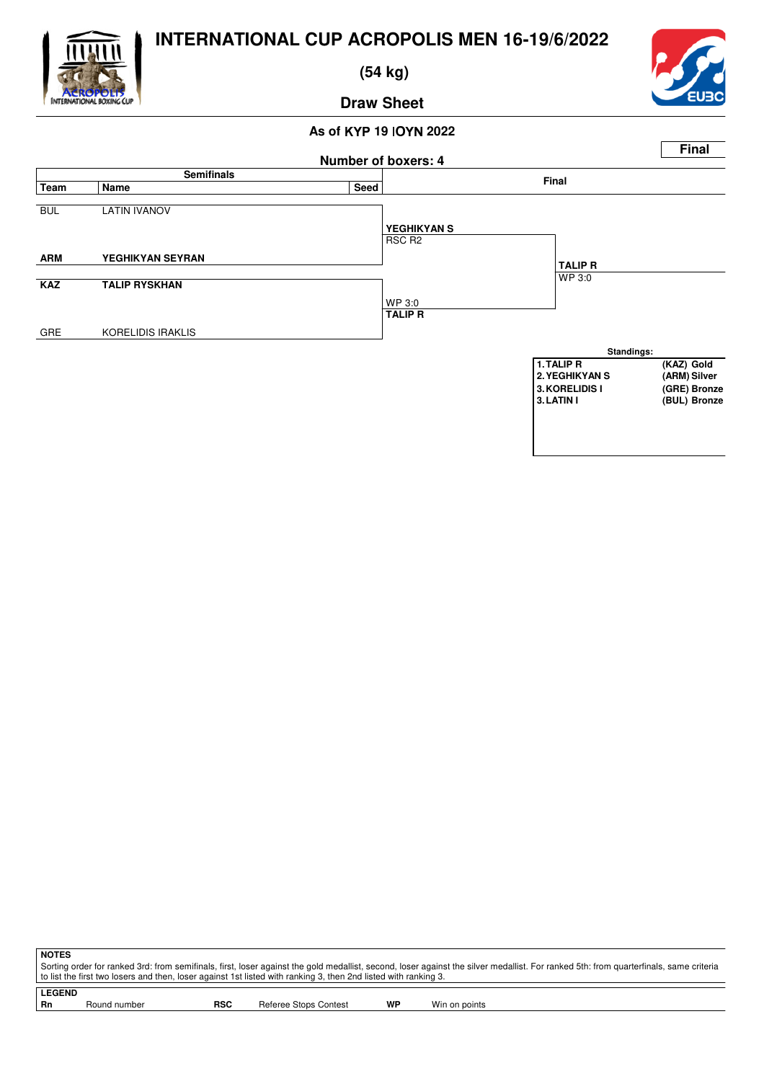

 **(54 kg)**



**Draw Sheet**

#### **As of** - **19** - **2022**



**NOTES** Sorting order for ranked 3rd: from semifinals, first, loser against the gold medallist, second, loser against the silver medallist. For ranked 5th: from quarterfinals, same criteria to list the first two losers and then, loser against 1st listed with ranking 3, then 2nd listed with ranking 3.

**LEGEND** Round number **RSC** Referee Stops Contest **WP** Win on points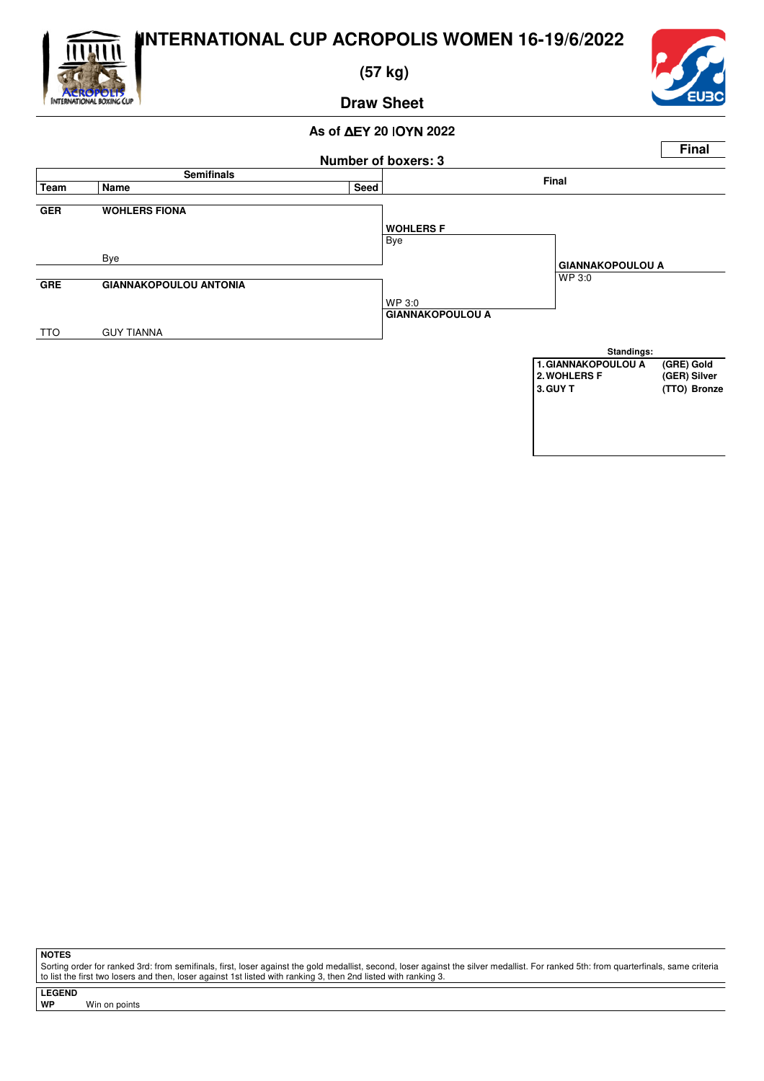

 **(57 kg)**



**Draw Sheet**

#### **As of ΔEY 20 ΙΟΥΝ 2022**



**NOTES**

Sorting order for ranked 3rd: from semifinals, first, loser against the gold medallist, second, loser against the silver medallist. For ranked 5th: from quarterfinals, same criteria to list the first two losers and then, loser against 1st listed with ranking 3, then 2nd listed with ranking 3.

**LEGEND**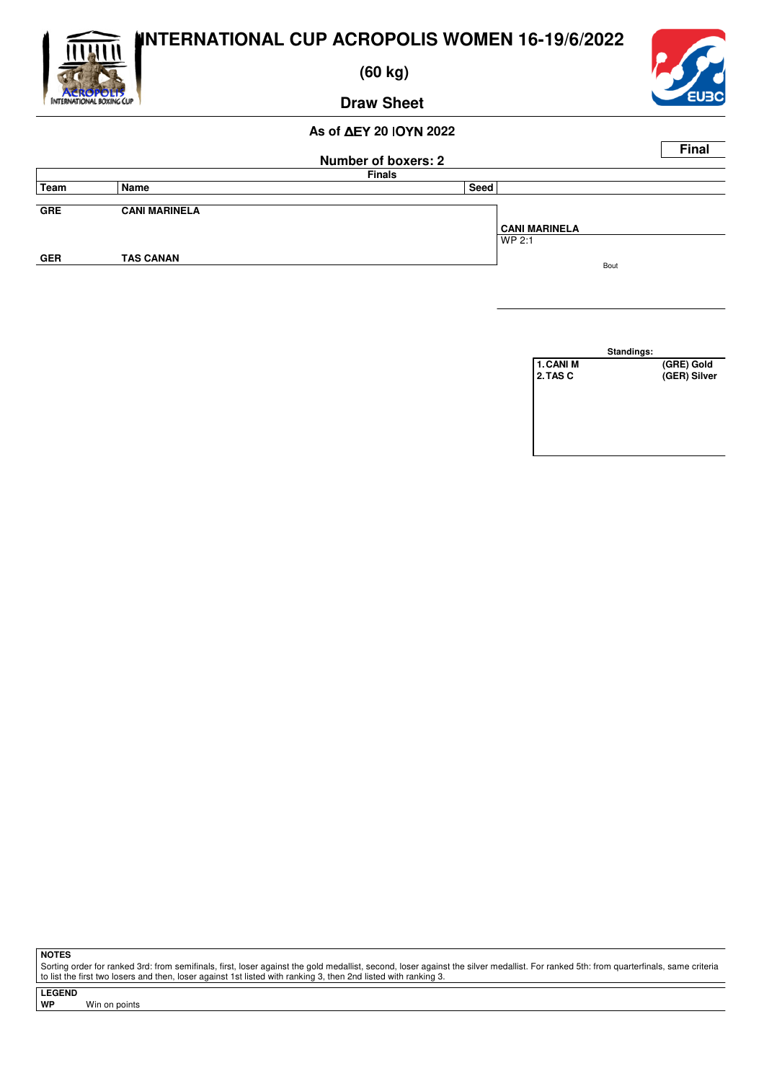

 **(60 kg)**



**Draw Sheet**

# **As of ΔEY 20 ΙΟΥΝ 2022**

|            |                      |                            | <b>Final</b>         |
|------------|----------------------|----------------------------|----------------------|
|            |                      | <b>Number of boxers: 2</b> |                      |
|            |                      | <b>Finals</b>              |                      |
| Team       | Name                 | Seed                       |                      |
|            |                      |                            |                      |
| <b>GRE</b> | <b>CANI MARINELA</b> |                            |                      |
|            |                      |                            | <b>CANI MARINELA</b> |
|            |                      |                            | WP 2:1               |
| <b>GER</b> | <b>TAS CANAN</b>     |                            |                      |
|            |                      |                            | Bout                 |



**NOTES**

Sorting order for ranked 3rd: from semifinals, first, loser against the gold medallist, second, loser against the silver medallist. For ranked 5th: from quarterfinals, same criteria to list the first two losers and then, loser against 1st listed with ranking 3, then 2nd listed with ranking 3.

**LEGEND Win on points**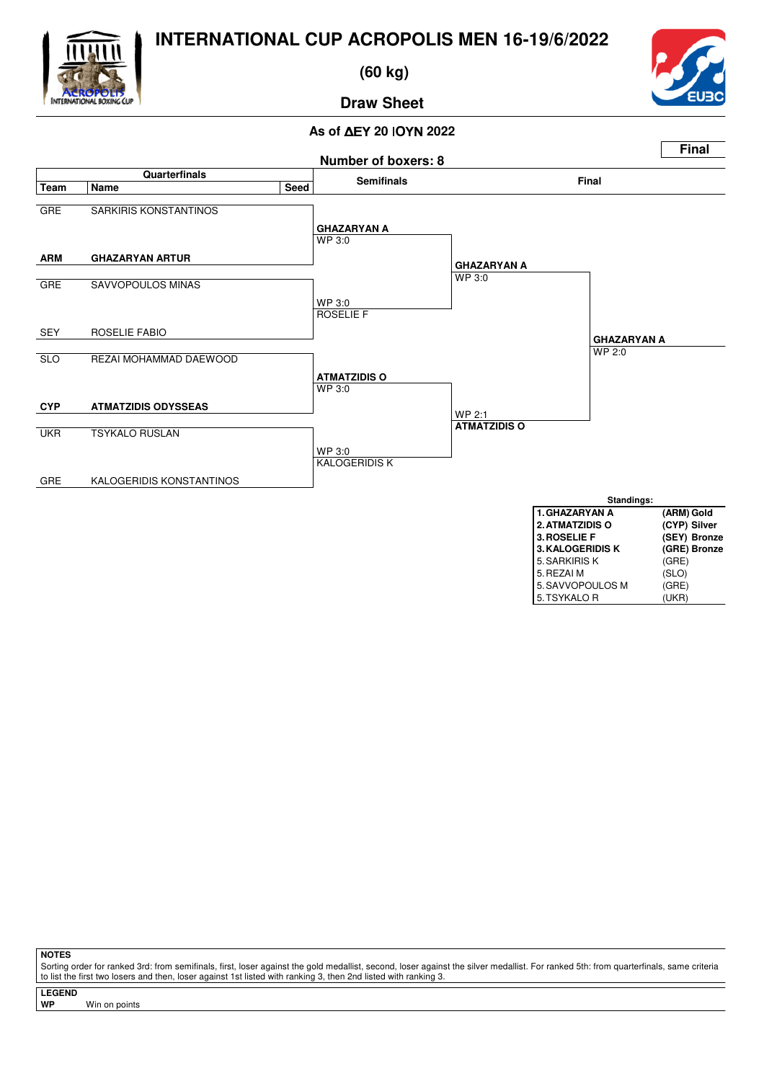

 **(60 kg)**



## **Draw Sheet**

#### **As of ΔEY 20 ΙΟΥΝ 2022**



**NOTES**

Sorting order for ranked 3rd: from semifinals, first, loser against the gold medallist, second, loser against the silver medallist. For ranked 5th: from quarterfinals, same criteria to list the first two losers and then, loser against 1st listed with ranking 3, then 2nd listed with ranking 3.

**LEGEND**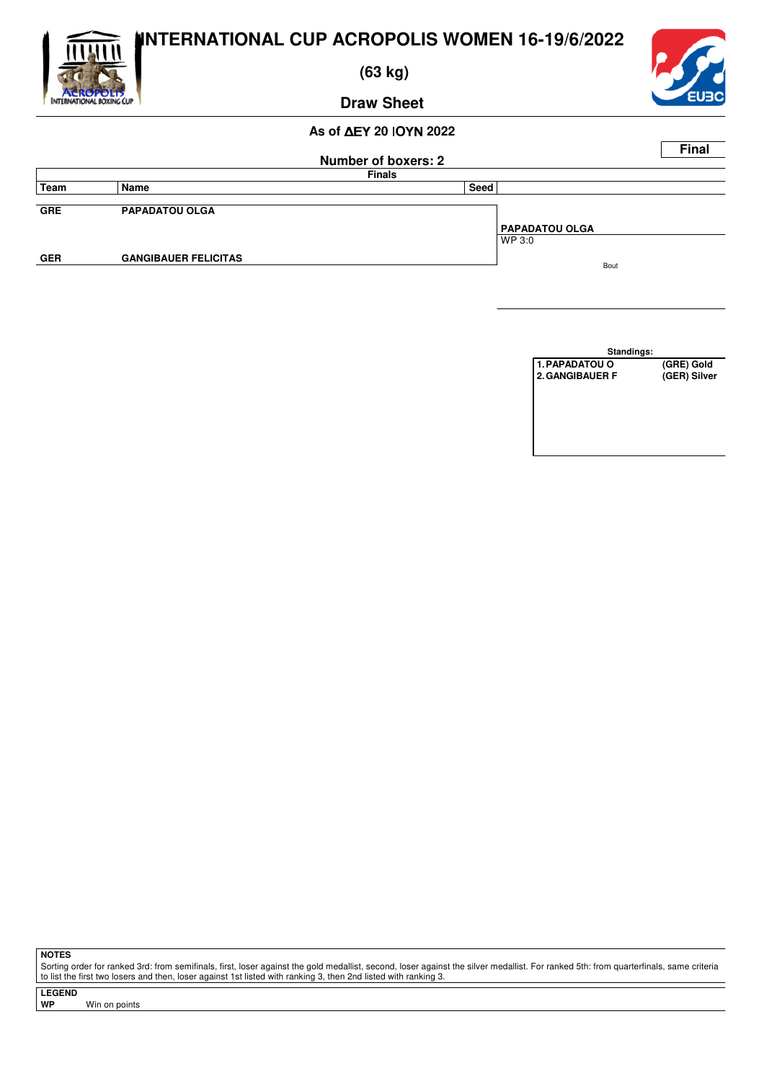

 **(63 kg)**



**Draw Sheet**

#### **As of ΔEY 20 ΙΟΥΝ 2022**

|            |                             |                            |                       | <b>Final</b> |
|------------|-----------------------------|----------------------------|-----------------------|--------------|
|            |                             | <b>Number of boxers: 2</b> |                       |              |
|            |                             | <b>Finals</b>              |                       |              |
| Team       | Name                        | Seed                       |                       |              |
|            |                             |                            |                       |              |
| <b>GRE</b> | <b>PAPADATOU OLGA</b>       |                            |                       |              |
|            |                             |                            | <b>PAPADATOU OLGA</b> |              |
|            |                             |                            | WP 3:0                |              |
| <b>GER</b> | <b>GANGIBAUER FELICITAS</b> |                            | Bout                  |              |
|            |                             |                            |                       |              |
|            |                             |                            |                       |              |

**Standings:** 1.PAPADATOU O (GRE) Gold<br>2.GANGIBAUER F (GER) Silver **2.GANGIBAUER F** 

**NOTES**

Sorting order for ranked 3rd: from semifinals, first, loser against the gold medallist, second, loser against the silver medallist. For ranked 5th: from quarterfinals, same criteria to list the first two losers and then, loser against 1st listed with ranking 3, then 2nd listed with ranking 3.

**LEGEND**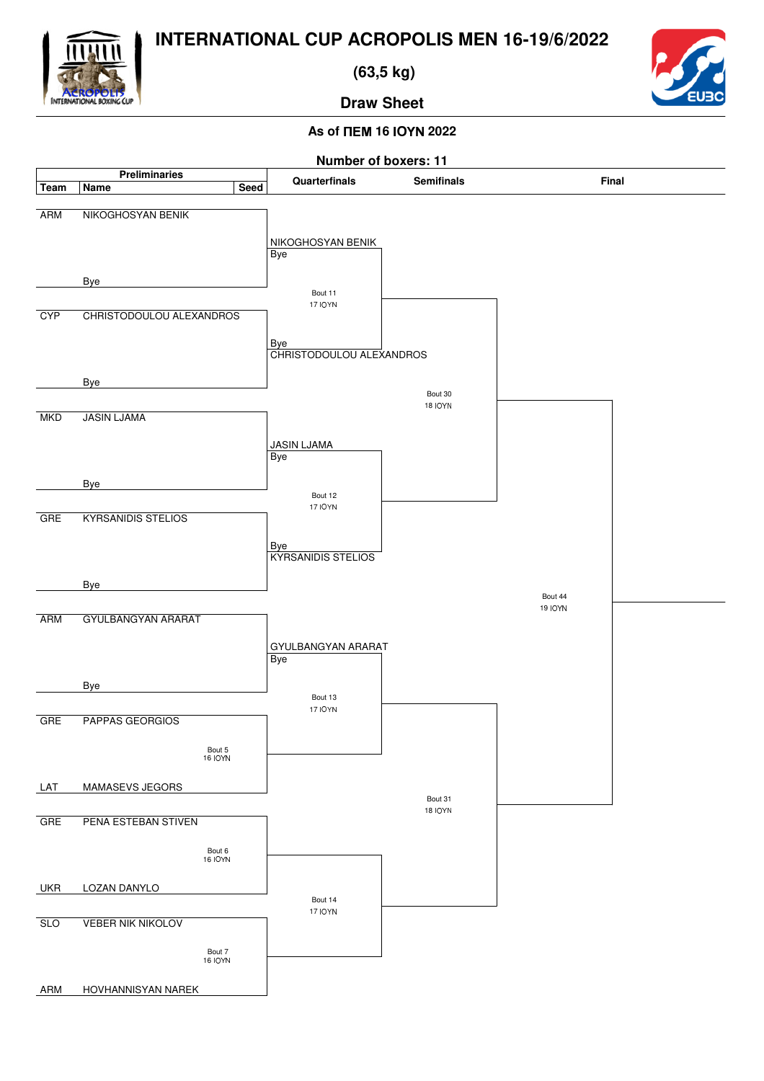

 **(63,5 kg)**



**Draw Sheet**

## **As of**  $\Pi$ **EM 16 IOYN 2022**

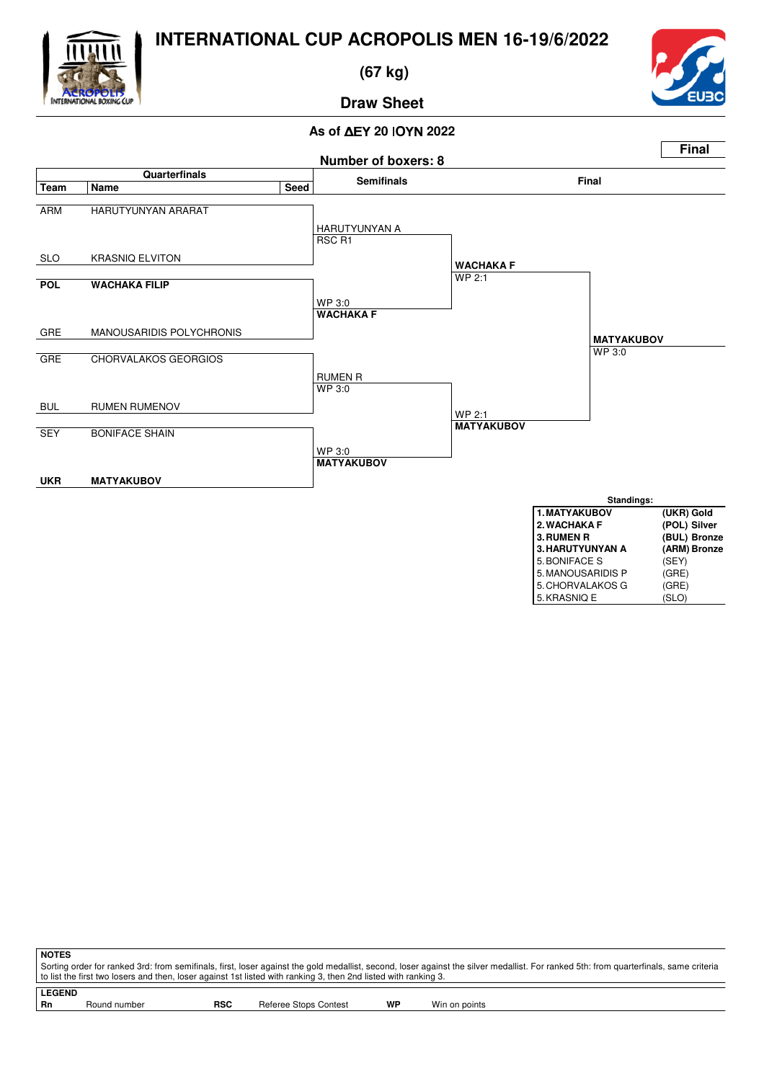

 **(67 kg)**



#### **Draw Sheet**

#### **As of ΔEY 20 ΙΟΥΝ 2022**



**NOTES** Sorting order for ranked 3rd: from semifinals, first, loser against the gold medallist, second, loser against the silver medallist. For ranked 5th: from quarterfinals, same criteria to list the first two losers and then, loser against 1st listed with ranking 3, then 2nd listed with ranking 3.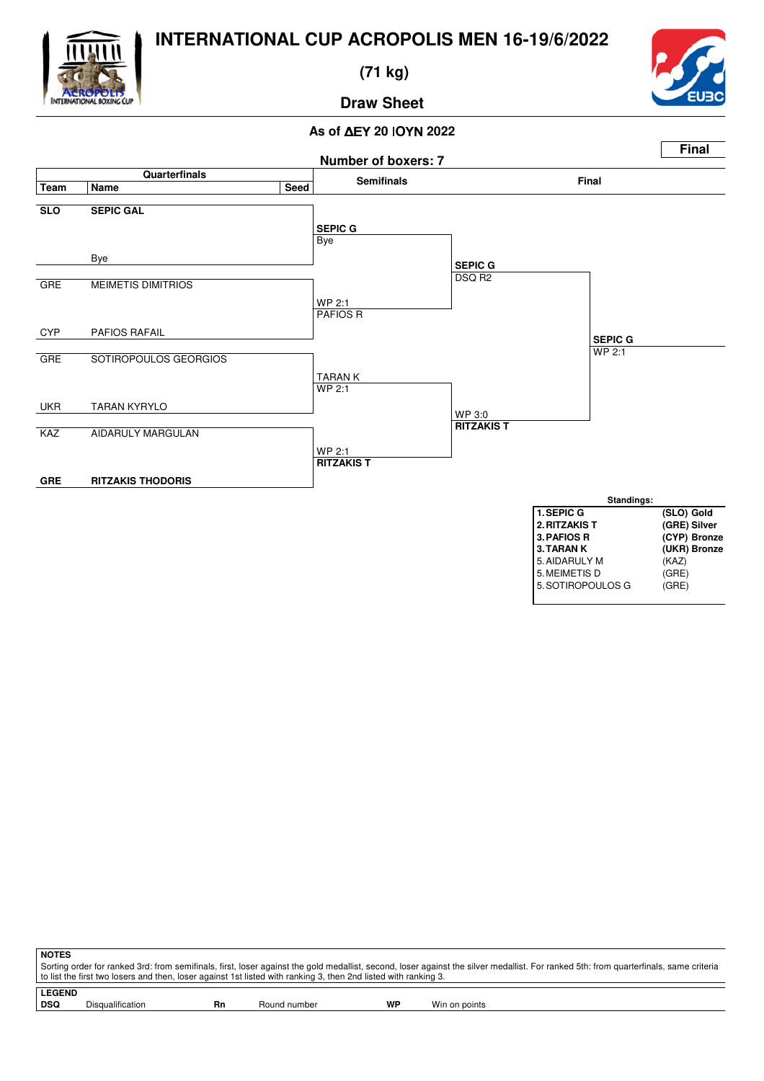

 **(71 kg)**



**Draw Sheet**

#### **As of ΔEY 20 ΙΟΥΝ 2022**



| <b>NOTES</b>  |                                                                                                                                                                                       |    |              |           |               |  |  |  |  |  |
|---------------|---------------------------------------------------------------------------------------------------------------------------------------------------------------------------------------|----|--------------|-----------|---------------|--|--|--|--|--|
|               | Sorting order for ranked 3rd: from semifinals, first, loser against the gold medallist, second, loser against the silver medallist. For ranked 5th: from quarterfinals, same criteria |    |              |           |               |  |  |  |  |  |
|               | to list the first two losers and then, loser against 1st listed with ranking 3, then 2nd listed with ranking 3.                                                                       |    |              |           |               |  |  |  |  |  |
| <b>LEGEND</b> |                                                                                                                                                                                       |    |              |           |               |  |  |  |  |  |
| <b>DSQ</b>    | Disqualification                                                                                                                                                                      | Rn | Round number | <b>WP</b> | Win on points |  |  |  |  |  |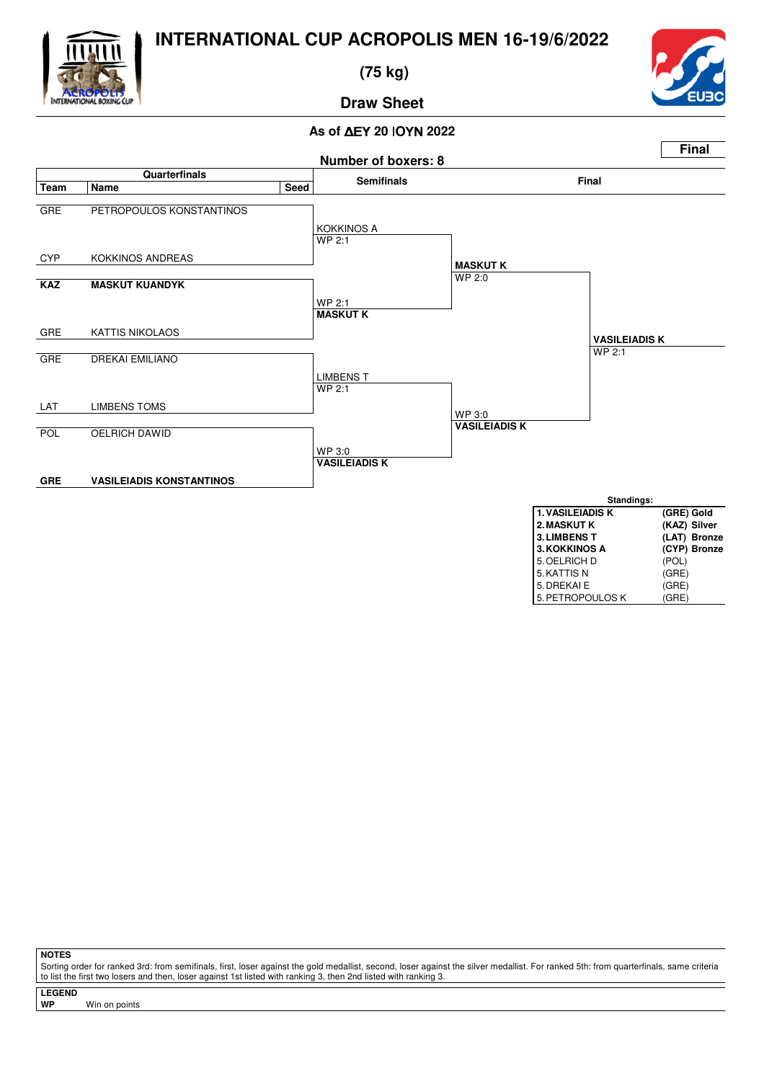

 **(75 kg)**



5. PETROPOULOS K

#### **Draw Sheet**

#### **As of ΔEY 20 ΙΟΥΝ 2022**



**NOTES**

Sorting order for ranked 3rd: from semifinals, first, loser against the gold medallist, second, loser against the silver medallist. For ranked 5th: from quarterfinals, same criteria to list the first two losers and then, loser against 1st listed with ranking 3, then 2nd listed with ranking 3.

**LEGEND**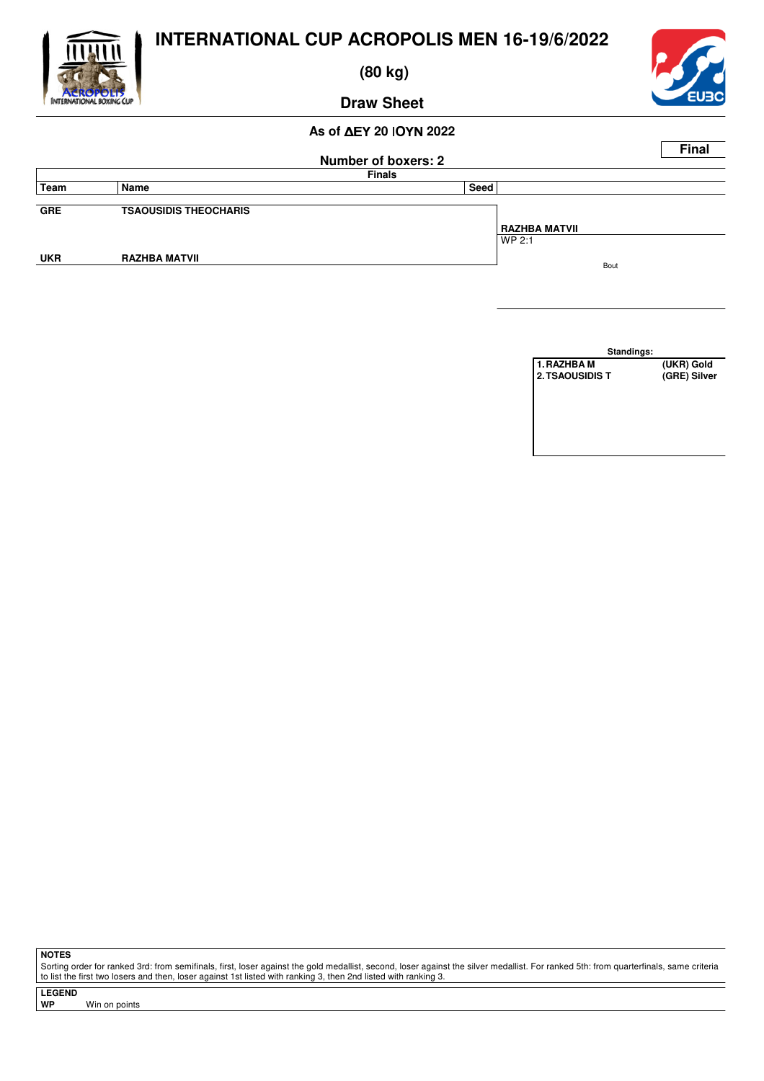

 **(80 kg)**

## **Draw Sheet**

#### **As of ΔEY 20 ΙΟΥΝ 2022**

|            |                              |                            | <b>Final</b> |
|------------|------------------------------|----------------------------|--------------|
|            |                              | <b>Number of boxers: 2</b> |              |
|            |                              | <b>Finals</b>              |              |
| Team       | Name                         | Seed                       |              |
|            |                              |                            |              |
| <b>GRE</b> | <b>TSAOUSIDIS THEOCHARIS</b> |                            |              |
|            |                              | <b>RAZHBA MATVII</b>       |              |
|            |                              | WP 2:1                     |              |
| <b>UKR</b> | <b>RAZHBA MATVII</b>         |                            |              |
|            |                              | Bout                       |              |

**Standings: 1.RAZHBA M** (UKR) Gold<br>2.TSAOUSIDIS T (GRE) Silver **2. TSAOUSIDIS T** 

**NOTES**

Sorting order for ranked 3rd: from semifinals, first, loser against the gold medallist, second, loser against the silver medallist. For ranked 5th: from quarterfinals, same criteria to list the first two losers and then, loser against 1st listed with ranking 3, then 2nd listed with ranking 3.

**LEGEND Win on points**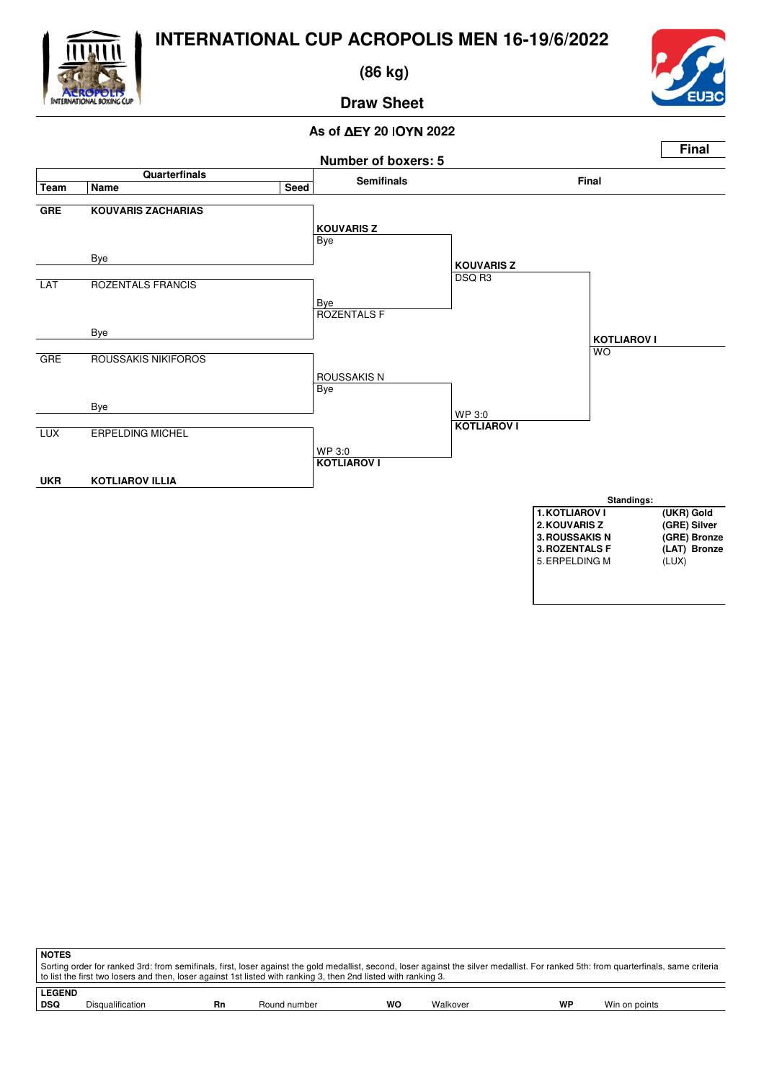

 **(86 kg)**



#### **Draw Sheet**

#### **As of ΔEY 20 ΙΟΥΝ 2022**



| <b>NOTES</b> |                                                                                                                                                                                       |    |              |    |          |    |               |  |  |  |
|--------------|---------------------------------------------------------------------------------------------------------------------------------------------------------------------------------------|----|--------------|----|----------|----|---------------|--|--|--|
|              | Sorting order for ranked 3rd: from semifinals, first, loser against the gold medallist, second, loser against the silver medallist. For ranked 5th: from quarterfinals, same criteria |    |              |    |          |    |               |  |  |  |
|              | to list the first two losers and then, loser against 1st listed with ranking 3, then 2nd listed with ranking 3.                                                                       |    |              |    |          |    |               |  |  |  |
|              | <b>LEGEND</b>                                                                                                                                                                         |    |              |    |          |    |               |  |  |  |
| DSQ          | <b>Disqualification</b>                                                                                                                                                               | Rn | Round number | wo | Walkover | WP | Win on points |  |  |  |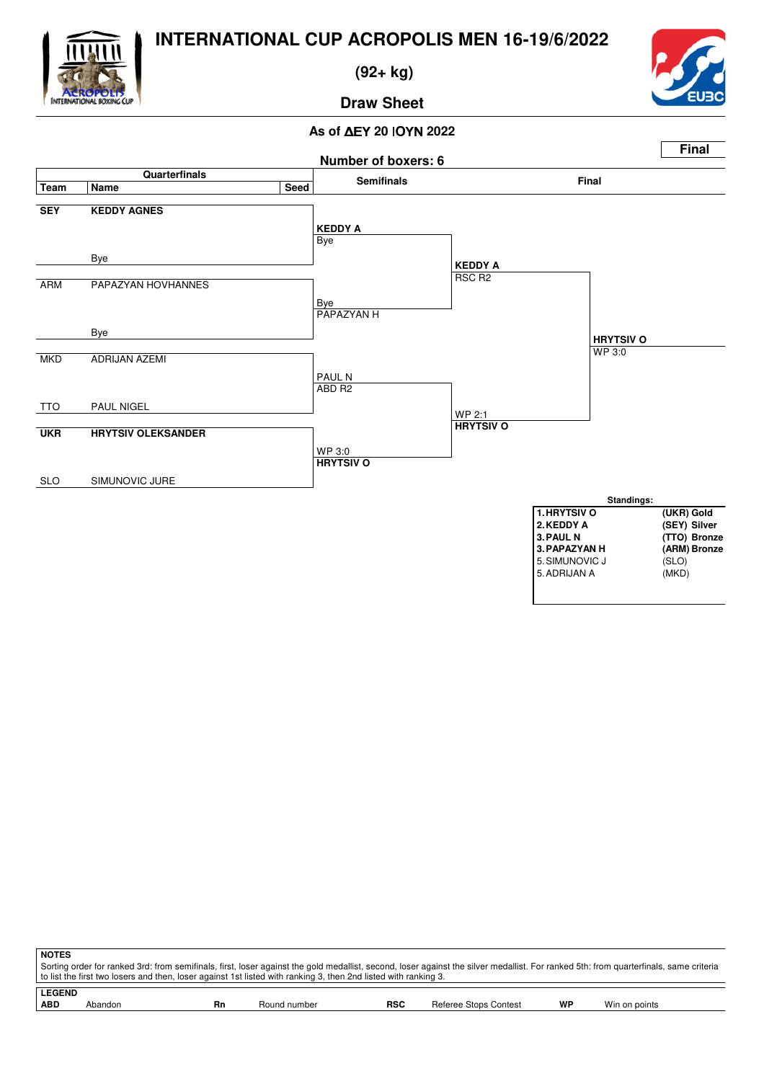

 **(92+ kg)**



## **Draw Sheet**

#### **As of ΔEY 20 ΙΟΥΝ 2022**



| <b>NOTES</b>  |                                                                                                                                                                                                                                                                                                          |    |              |            |                       |    |               |  |
|---------------|----------------------------------------------------------------------------------------------------------------------------------------------------------------------------------------------------------------------------------------------------------------------------------------------------------|----|--------------|------------|-----------------------|----|---------------|--|
|               | Sorting order for ranked 3rd: from semifinals, first, loser against the gold medallist, second, loser against the silver medallist. For ranked 5th: from quarterfinals, same criteria<br>to list the first two losers and then, loser against 1st listed with ranking 3, then 2nd listed with ranking 3. |    |              |            |                       |    |               |  |
| <b>LEGEND</b> |                                                                                                                                                                                                                                                                                                          |    |              |            |                       |    |               |  |
| <b>ABD</b>    | Abandon                                                                                                                                                                                                                                                                                                  | Rn | Round number | <b>RSC</b> | Referee Stops Contest | WP | Win on points |  |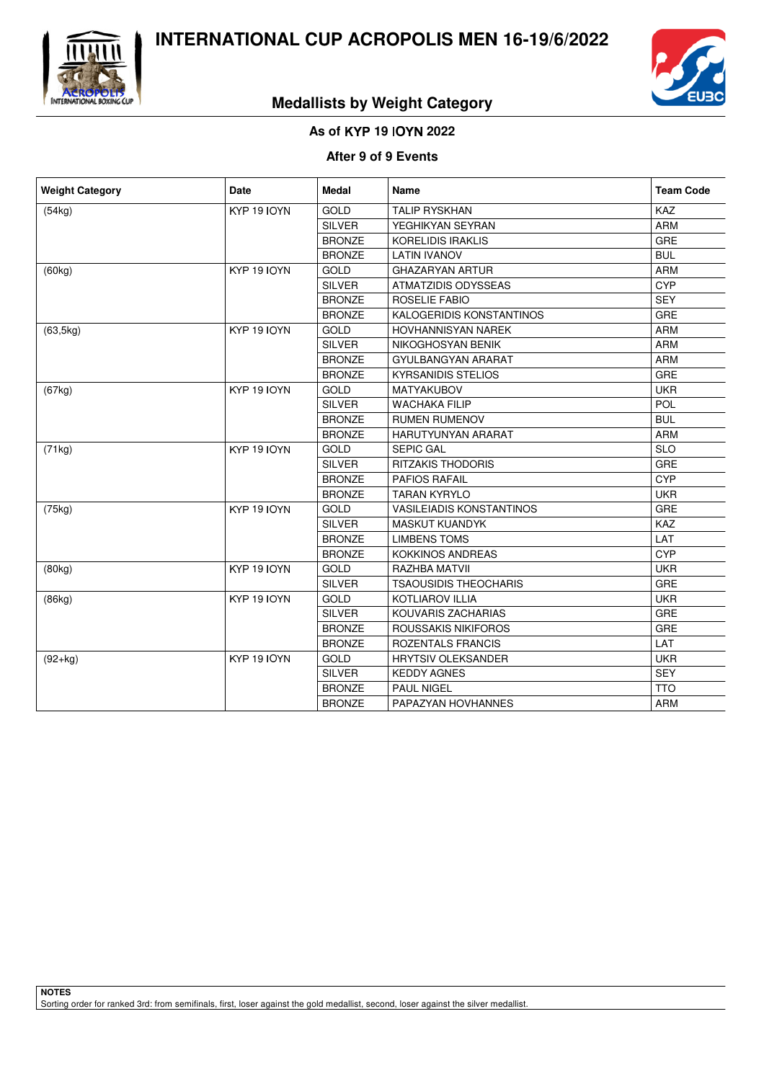



## **Medallists by Weight Category**

#### **As of** - **19** - **2022**

#### **After 9 of 9 Events**

| <b>Weight Category</b> | Date               | <b>Medal</b>  | <b>Name</b>                     | <b>Team Code</b> |
|------------------------|--------------------|---------------|---------------------------------|------------------|
| (54kg)                 | <b>KYP 19 IOYN</b> | <b>GOLD</b>   | <b>TALIP RYSKHAN</b>            | <b>KAZ</b>       |
|                        |                    | <b>SILVER</b> | YEGHIKYAN SEYRAN                | <b>ARM</b>       |
|                        |                    | <b>BRONZE</b> | <b>KORELIDIS IRAKLIS</b>        | GRE              |
|                        |                    | <b>BRONZE</b> | <b>LATIN IVANOV</b>             | <b>BUL</b>       |
| (60kg)                 | <b>KYP 19 IOYN</b> | <b>GOLD</b>   | <b>GHAZARYAN ARTUR</b>          | <b>ARM</b>       |
|                        |                    | <b>SILVER</b> | ATMATZIDIS ODYSSEAS             | <b>CYP</b>       |
|                        |                    | <b>BRONZE</b> | <b>ROSELIE FABIO</b>            | <b>SEY</b>       |
|                        |                    | <b>BRONZE</b> | KALOGERIDIS KONSTANTINOS        | <b>GRE</b>       |
| (63, 5kg)              | KYP 19 IOYN        | GOLD          | HOVHANNISYAN NAREK              | <b>ARM</b>       |
|                        |                    | <b>SILVER</b> | NIKOGHOSYAN BENIK               | <b>ARM</b>       |
|                        |                    | <b>BRONZE</b> | GYULBANGYAN ARARAT              | <b>ARM</b>       |
|                        |                    | <b>BRONZE</b> | <b>KYRSANIDIS STELIOS</b>       | GRE              |
| (67kg)                 | <b>KYP 19 IOYN</b> | <b>GOLD</b>   | MATYAKUBOV                      | <b>UKR</b>       |
|                        |                    | <b>SILVER</b> | <b>WACHAKA FILIP</b>            | <b>POL</b>       |
|                        |                    | <b>BRONZE</b> | <b>RUMEN RUMENOV</b>            | <b>BUL</b>       |
|                        |                    | <b>BRONZE</b> | <b>HARUTYUNYAN ARARAT</b>       | <b>ARM</b>       |
| (71kg)                 | KYP 19 IOYN        | GOLD          | <b>SEPIC GAL</b>                | <b>SLO</b>       |
|                        |                    | <b>SILVER</b> | <b>RITZAKIS THODORIS</b>        | <b>GRE</b>       |
|                        |                    | <b>BRONZE</b> | <b>PAFIOS RAFAIL</b>            | <b>CYP</b>       |
|                        |                    | <b>BRONZE</b> | <b>TARAN KYRYLO</b>             | <b>UKR</b>       |
| (75kg)                 | <b>KYP 19 IOYN</b> | <b>GOLD</b>   | <b>VASILEIADIS KONSTANTINOS</b> | GRE              |
|                        |                    | <b>SILVER</b> | MASKUT KUANDYK                  | KAZ              |
|                        |                    | <b>BRONZE</b> | <b>LIMBENS TOMS</b>             | LAT              |
|                        |                    | <b>BRONZE</b> | <b>KOKKINOS ANDREAS</b>         | <b>CYP</b>       |
| (80kg)                 | KYP 19 IOYN        | GOLD          | <b>RAZHBA MATVII</b>            | <b>UKR</b>       |
|                        |                    | <b>SILVER</b> | <b>TSAOUSIDIS THEOCHARIS</b>    | GRE              |
| (86kg)                 | KYP 19 IOYN        | <b>GOLD</b>   | <b>KOTLIAROV ILLIA</b>          | <b>UKR</b>       |
|                        |                    | <b>SILVER</b> | KOUVARIS ZACHARIAS              | GRE              |
|                        |                    | <b>BRONZE</b> | <b>ROUSSAKIS NIKIFOROS</b>      | <b>GRE</b>       |
|                        |                    | <b>BRONZE</b> | ROZENTALS FRANCIS               | LAT              |
| $(92+kg)$              | KYP 19 IOYN        | GOLD          | <b>HRYTSIV OLEKSANDER</b>       | <b>UKR</b>       |
|                        |                    | <b>SILVER</b> | <b>KEDDY AGNES</b>              | <b>SEY</b>       |
|                        |                    | <b>BRONZE</b> | <b>PAUL NIGEL</b>               | <b>TTO</b>       |
|                        |                    | <b>BRONZE</b> | PAPAZYAN HOVHANNES              | <b>ARM</b>       |

**NOTES** Sorting order for ranked 3rd: from semifinals, first, loser against the gold medallist, second, loser against the silver medallist.